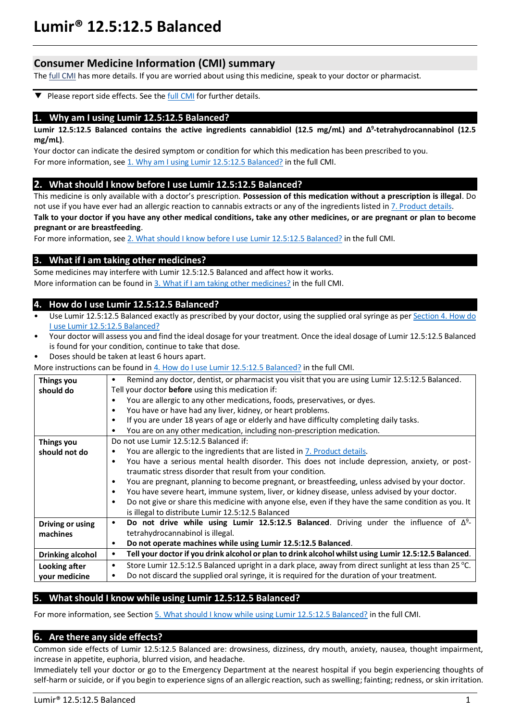# **Lumir® 12.5:12.5 Balanced**

# **Consumer Medicine Information (CMI) summary**

The **full CMI** has more details. If you are worried about using this medicine, speak to your doctor or pharmacist.

Please report side effects. See the **full CMI** for further details. ▼

### **1. Why am I using Lumir 12.5:12.5 Balanced?**

**Lumir 12.5:12.5 Balanced contains the active ingredients cannabidiol (12.5 mg/mL) and Δ 9 -tetrahydrocannabinol (12.5 mg/mL)**.

Your doctor can indicate the desired symptom or condition for which this medication has been prescribed to you. For more information, see 1. Why am I using Lumir 12.5:12.5 Balanced? in the full CMI.

### **2. What should I know before I use Lumir 12.5:12.5 Balanced?**

This medicine is only available with a doctor's prescription. **Possession of this medication without a prescription is illegal**. Do not use if you have ever had an allergic reaction to cannabis extracts or any of the ingredients listed i[n 7. Product details.](#page-5-0) 

**Talk to your doctor if you have any other medical conditions, take any other medicines, or are pregnant or plan to become pregnant or are breastfeeding**.

For more information, see [2. What should I know before I use](#page-2-2) Lumir 12.5:12.5 Balanced? in the full CMI.

## **3. What if I am taking other medicines?**

Some medicines may interfere with Lumir 12.5:12.5 Balanced and affect how it works. More information can be found in [3. What if I am taking other medicines?](#page-3-0) in the full CMI.

## **4. How do I use Lumir 12.5:12.5 Balanced?**

- Use Lumir 12.5:12.5 Balanced exactly as prescribed by your doctor, using the supplied oral syringe as pe[r Section 4. How do](#page-3-1)  [I use Lumir 12.5:12.5](#page-3-1) Balanced?
- Your doctor will assess you and find the ideal dosage for your treatment. Once the ideal dosage of Lumir 12.5:12.5 Balanced is found for your condition, continue to take that dose.
- Doses should be taken at least 6 hours apart.

More instructions can be found i[n 4. How do I use Lumir 12.5:12.5](#page-3-1) Balanced? in the full CMI.

| Things you              | Remind any doctor, dentist, or pharmacist you visit that you are using Lumir 12.5:12.5 Balanced.<br>٠              |  |  |
|-------------------------|--------------------------------------------------------------------------------------------------------------------|--|--|
| should do               | Tell your doctor <b>before</b> using this medication if:                                                           |  |  |
|                         | You are allergic to any other medications, foods, preservatives, or dyes.<br>$\bullet$                             |  |  |
|                         | You have or have had any liver, kidney, or heart problems.<br>$\bullet$                                            |  |  |
|                         | If you are under 18 years of age or elderly and have difficulty completing daily tasks.<br>$\bullet$               |  |  |
|                         | You are on any other medication, including non-prescription medication.<br>$\bullet$                               |  |  |
| <b>Things you</b>       | Do not use Lumir 12.5:12.5 Balanced if:                                                                            |  |  |
| should not do           | You are allergic to the ingredients that are listed in 7. Product details.                                         |  |  |
|                         | You have a serious mental health disorder. This does not include depression, anxiety, or post-<br>$\bullet$        |  |  |
|                         | traumatic stress disorder that result from your condition.                                                         |  |  |
|                         | You are pregnant, planning to become pregnant, or breastfeeding, unless advised by your doctor.<br>$\bullet$       |  |  |
|                         | You have severe heart, immune system, liver, or kidney disease, unless advised by your doctor.<br>$\bullet$        |  |  |
|                         | Do not give or share this medicine with anyone else, even if they have the same condition as you. It<br>$\bullet$  |  |  |
|                         |                                                                                                                    |  |  |
|                         | is illegal to distribute Lumir 12.5:12.5 Balanced                                                                  |  |  |
| Driving or using        | Do not drive while using Lumir 12.5:12.5 Balanced. Driving under the influence of $\Delta^9$ -<br>$\bullet$        |  |  |
| machines                | tetrahydrocannabinol is illegal.                                                                                   |  |  |
|                         | Do not operate machines while using Lumir 12.5:12.5 Balanced.<br>$\bullet$                                         |  |  |
| <b>Drinking alcohol</b> | Tell your doctor if you drink alcohol or plan to drink alcohol whilst using Lumir 12.5:12.5 Balanced.<br>٠         |  |  |
| Looking after           | Store Lumir 12.5:12.5 Balanced upright in a dark place, away from direct sunlight at less than 25 °C.<br>$\bullet$ |  |  |
| vour medicine           | Do not discard the supplied oral syringe, it is required for the duration of your treatment.<br>٠                  |  |  |
|                         |                                                                                                                    |  |  |

## **5. What should I know while using Lumir 12.5:12.5 Balanced?**

For more information, see Section [5. What should I know while using Lumir 12.5:12.5](#page-4-0) Balanced? in the full CMI.

### **6. Are there any side effects?**

Common side effects of Lumir 12.5:12.5 Balanced are: drowsiness, dizziness, dry mouth, anxiety, nausea, thought impairment, increase in appetite, euphoria, blurred vision, and headache.

Immediately tell your doctor or go to the Emergency Department at the nearest hospital if you begin experiencing thoughts of self-harm or suicide, or if you begin to experience signs of an allergic reaction, such as swelling; fainting; redness, or skin irritation.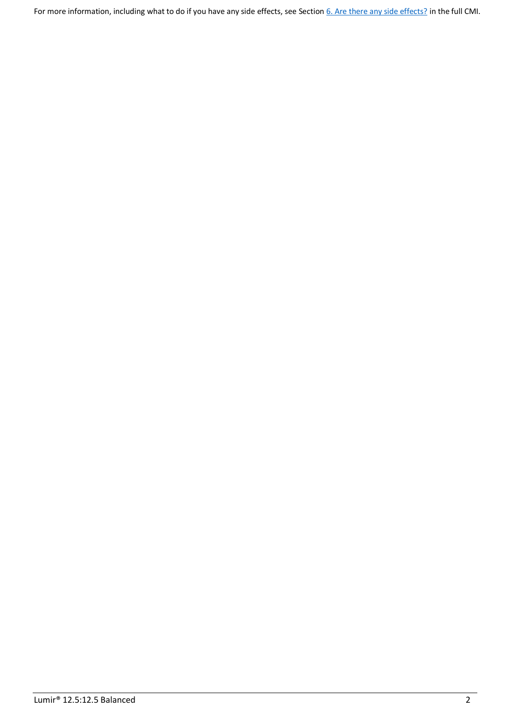For more information, including what to do if you have any side effects, see Section [6. Are there any side effects?](#page-4-1) in the full CMI.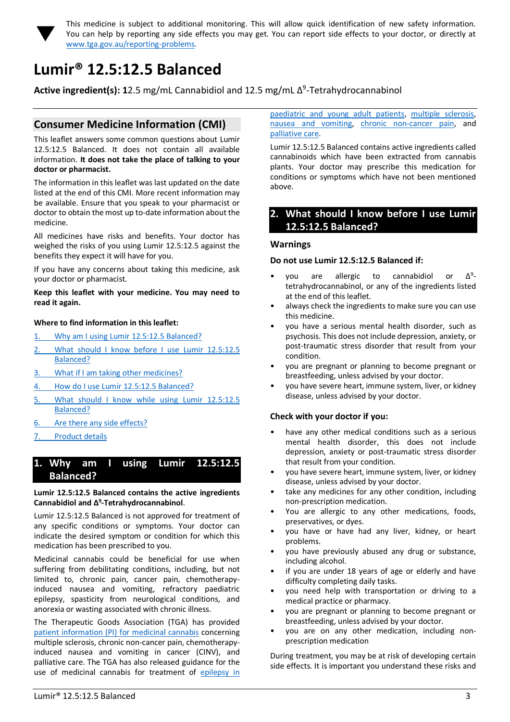

<span id="page-2-0"></span>This medicine is subject to additional monitoring. This will allow quick identification of new safety information. You can help by reporting any side effects you may get. You can report side effects to your doctor, or directly at [www.tga.gov.au/reporting-problems.](http://www.tga.gov.au/reporting-problems)

# <span id="page-2-1"></span>**Lumir® 12.5:12.5 Balanced**

**Active ingredient(s): 1**2.5 mg/mL Cannabidiol and 12.5 mg/mL Δ 9 -Tetrahydrocannabinol

# **Consumer Medicine Information (CMI)**

This leaflet answers some common questions about Lumir 12.5:12.5 Balanced. It does not contain all available information. **It does not take the place of talking to your doctor or pharmacist.**

The information in this leaflet was last updated on the date listed at the end of this CMI. More recent information may be available. Ensure that you speak to your pharmacist or doctor to obtain the most up to-date information about the medicine.

All medicines have risks and benefits. Your doctor has weighed the risks of you using Lumir 12.5:12.5 against the benefits they expect it will have for you.

If you have any concerns about taking this medicine, ask your doctor or pharmacist.

#### **Keep this leaflet with your medicine. You may need to read it again.**

#### **Where to find information in this leaflet:**

- 1. [Why am I using Lumir 12.5:12.5](#page-2-3) Balanced[?](#page-2-3)
- 2. [What should I know before I use Lumir 12.5:12.5](#page-2-2) [Balanced?](#page-2-2)
- 3. [What if I am taking other medicines?](#page-3-0)
- 4. [How do I use Lumir 12.5:12.5](#page-3-1) Balanced[?](#page-3-1)
- 5. [What should I know while using Lumir 12.5:12.5](#page-4-0) [Balanced?](#page-4-0)
- 6. [Are there any side effects?](#page-4-1)
- 7. [Product details](#page-5-0)

# <span id="page-2-3"></span>**1. Why am I using Lumir 12.5:12.5 Balanced?**

**Lumir 12.5:12.5 Balanced contains the active ingredients Cannabidiol and Δ<sup>9</sup> -Tetrahydrocannabinol**.

Lumir 12.5:12.5 Balanced is not approved for treatment of any specific conditions or symptoms. Your doctor can indicate the desired symptom or condition for which this medication has been prescribed to you.

Medicinal cannabis could be beneficial for use when suffering from debilitating conditions, including, but not limited to, chronic pain, cancer pain, chemotherapyinduced nausea and vomiting, refractory paediatric epilepsy, spasticity from neurological conditions, and anorexia or wasting associated with chronic illness.

The Therapeutic Goods Association (TGA) has provided [patient information \(PI\) for medicinal cannabis](https://www.tga.gov.au/community-qa/medicinal-cannabis-products-patient-information) concerning multiple sclerosis, chronic non-cancer pain, chemotherapyinduced nausea and vomiting in cancer (CINV), and palliative care. The TGA has also released guidance for the use of medicinal cannabis for treatment of epilepsy in [paediatric and young adult patients,](https://www.tga.gov.au/publication/guidance-use-medicinal-cannabis-treatment-epilepsy-paediatric-and-young-adult-patients-australia) [multiple sclerosis,](https://www.tga.gov.au/publication/guidance-use-medicinal-cannabis-treatment-multiple-sclerosis-australia) [nausea and vomiting,](https://www.tga.gov.au/publication/guidance-use-medicinal-cannabis-prevention-or-management-nausea-and-vomiting-australia) [chronic non-cancer pain,](https://www.tga.gov.au/publication/guidance-use-medicinal-cannabis-treatment-chronic-non-cancer-pain-australia) and [palliative care.](https://www.tga.gov.au/publication/guidance-use-medicinal-cannabis-treatment-palliative-care-patients-australia)

Lumir 12.5:12.5 Balanced contains active ingredients called cannabinoids which have been extracted from cannabis plants. Your doctor may prescribe this medication for conditions or symptoms which have not been mentioned above.

## <span id="page-2-2"></span>**2. What should I know before I use Lumir 12.5:12.5 Balanced?**

#### **Warnings**

#### **Do not use Lumir 12.5:12.5 Balanced if:**

- γου are allergic to cannabidiol or  $\Delta^9$ tetrahydrocannabinol, or any of the ingredients listed at the end of this leaflet.
- always check the ingredients to make sure you can use this medicine.
- you have a serious mental health disorder, such as psychosis. This does not include depression, anxiety, or post-traumatic stress disorder that result from your condition.
- you are pregnant or planning to become pregnant or breastfeeding, unless advised by your doctor.
- you have severe heart, immune system, liver, or kidney disease, unless advised by your doctor.

### **Check with your doctor if you:**

- have any other medical conditions such as a serious mental health disorder, this does not include depression, anxiety or post-traumatic stress disorder that result from your condition.
- you have severe heart, immune system, liver, or kidney disease, unless advised by your doctor.
- take any medicines for any other condition, including non-prescription medication.
- You are allergic to any other medications, foods, preservatives, or dyes.
- you have or have had any liver, kidney, or heart problems.
- you have previously abused any drug or substance, including alcohol.
- if you are under 18 years of age or elderly and have difficulty completing daily tasks.
- you need help with transportation or driving to a medical practice or pharmacy.
- you are pregnant or planning to become pregnant or breastfeeding, unless advised by your doctor.
- you are on any other medication, including nonprescription medication

During treatment, you may be at risk of developing certain side effects. It is important you understand these risks and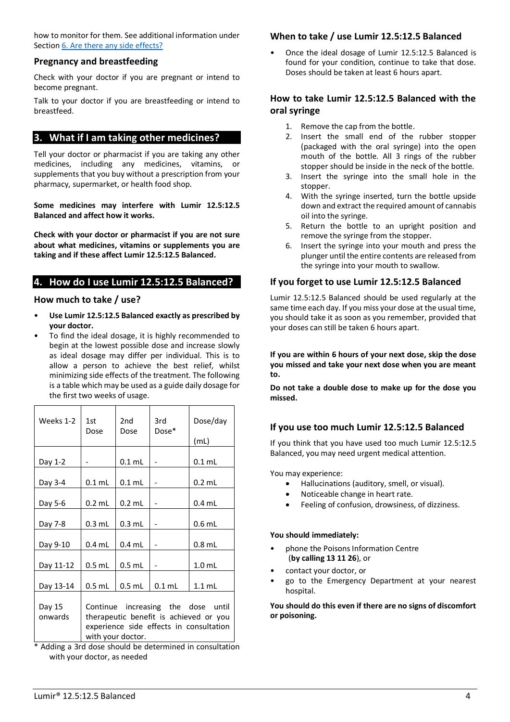how to monitor for them. See additional information under Section [6. Are there any side effects?](#page-4-1)

#### **Pregnancy and breastfeeding**

Check with your doctor if you are pregnant or intend to become pregnant.

Talk to your doctor if you are breastfeeding or intend to breastfeed.

# <span id="page-3-0"></span>**3. What if I am taking other medicines?**

Tell your doctor or pharmacist if you are taking any other medicines, including any medicines, vitamins, or supplements that you buy without a prescription from your pharmacy, supermarket, or health food shop.

**Some medicines may interfere with Lumir 12.5:12.5 Balanced and affect how it works.**

**Check with your doctor or pharmacist if you are not sure about what medicines, vitamins or supplements you are taking and if these affect Lumir 12.5:12.5 Balanced.**

## <span id="page-3-1"></span>**4. How do I use Lumir 12.5:12.5 Balanced?**

## **How much to take / use?**

- **Use Lumir 12.5:12.5 Balanced exactly as prescribed by your doctor.**
- To find the ideal dosage, it is highly recommended to begin at the lowest possible dose and increase slowly as ideal dosage may differ per individual. This is to allow a person to achieve the best relief, whilst minimizing side effects of the treatment. The following is a table which may be used as a guide daily dosage for the first two weeks of usage.

| Weeks 1-2         | 1st<br>Dose                                                                                                                                  | 2nd<br>Dose | 3rd<br>Dose* | Dose/day |
|-------------------|----------------------------------------------------------------------------------------------------------------------------------------------|-------------|--------------|----------|
|                   |                                                                                                                                              |             |              | (mL)     |
| Day 1-2           |                                                                                                                                              | $0.1$ mL    |              | $0.1$ mL |
| Day 3-4           | $0.1$ mL                                                                                                                                     | $0.1$ mL    |              | $0.2$ mL |
| Day 5-6           | $0.2$ mL                                                                                                                                     | $0.2$ mL    |              | $0.4$ mL |
| Day 7-8           | $0.3$ mL                                                                                                                                     | $0.3$ mL    |              | $0.6$ mL |
| Day 9-10          | $0.4$ mL                                                                                                                                     | $0.4$ mL    |              | $0.8$ mL |
| Day 11-12         | $0.5$ mL                                                                                                                                     | $0.5$ mL    |              | $1.0$ mL |
| Day 13-14         | $0.5$ mL                                                                                                                                     | $0.5$ mL    | $0.1$ mL     | $1.1$ mL |
| Day 15<br>onwards | Continue increasing the dose until<br>therapeutic benefit is achieved or you<br>experience side effects in consultation<br>with your doctor. |             |              |          |

\* Adding a 3rd dose should be determined in consultation with your doctor, as needed

## **When to take / use Lumir 12.5:12.5 Balanced**

• Once the ideal dosage of Lumir 12.5:12.5 Balanced is found for your condition, continue to take that dose. Doses should be taken at least 6 hours apart.

## **How to take Lumir 12.5:12.5 Balanced with the oral syringe**

- 1. Remove the cap from the bottle.
- 2. Insert the small end of the rubber stopper (packaged with the oral syringe) into the open mouth of the bottle. All 3 rings of the rubber stopper should be inside in the neck of the bottle.
- 3. Insert the syringe into the small hole in the stopper.
- 4. With the syringe inserted, turn the bottle upside down and extract the required amount of cannabis oil into the syringe.
- 5. Return the bottle to an upright position and remove the syringe from the stopper.
- 6. Insert the syringe into your mouth and press the plunger until the entire contents are released from the syringe into your mouth to swallow.

### **If you forget to use Lumir 12.5:12.5 Balanced**

Lumir 12.5:12.5 Balanced should be used regularly at the same time each day. If you miss your dose at the usual time, you should take it as soon as you remember, provided that your doses can still be taken 6 hours apart.

**If you are within 6 hours of your next dose, skip the dose you missed and take your next dose when you are meant to.**

**Do not take a double dose to make up for the dose you missed.**

## **If you use too much Lumir 12.5:12.5 Balanced**

If you think that you have used too much Lumir 12.5:12.5 Balanced, you may need urgent medical attention.

You may experience:

- Hallucinations (auditory, smell, or visual).
- Noticeable change in heart rate.
- Feeling of confusion, drowsiness, of dizziness.

#### **You should immediately:**

- phone the Poisons Information Centre (**by calling 13 11 26**), or
- contact your doctor, or
- go to the Emergency Department at your nearest hospital.

**You should do this even if there are no signs of discomfort or poisoning.**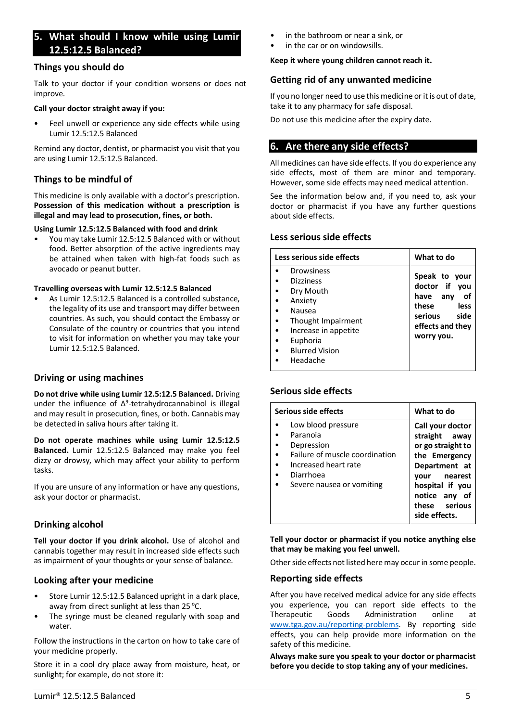# <span id="page-4-0"></span>**5. What should I know while using Lumir 12.5:12.5 Balanced?**

## **Things you should do**

Talk to your doctor if your condition worsens or does not improve.

#### **Call your doctor straight away if you:**

Feel unwell or experience any side effects while using Lumir 12.5:12.5 Balanced

Remind any doctor, dentist, or pharmacist you visit that you are using Lumir 12.5:12.5 Balanced.

## **Things to be mindful of**

This medicine is only available with a doctor's prescription. **Possession of this medication without a prescription is illegal and may lead to prosecution, fines, or both.**

#### **Using Lumir 12.5:12.5 Balanced with food and drink**

• You may take Lumir 12.5:12.5 Balanced with or without food. Better absorption of the active ingredients may be attained when taken with high-fat foods such as avocado or peanut butter.

**Travelling overseas with Lumir 12.5:12.5 Balanced**

As Lumir 12.5:12.5 Balanced is a controlled substance. the legality of its use and transport may differ between countries. As such, you should contact the Embassy or Consulate of the country or countries that you intend to visit for information on whether you may take your Lumir 12.5:12.5 Balanced.

## **Driving or using machines**

**Do not drive while using Lumir 12.5:12.5 Balanced.** Driving under the influence of  $\Delta^9$ -tetrahydrocannabinol is illegal and may result in prosecution, fines, or both. Cannabis may be detected in saliva hours after taking it.

**Do not operate machines while using Lumir 12.5:12.5 Balanced.** Lumir 12.5:12.5 Balanced may make you feel dizzy or drowsy, which may affect your ability to perform tasks.

If you are unsure of any information or have any questions, ask your doctor or pharmacist.

## **Drinking alcohol**

**Tell your doctor if you drink alcohol.** Use of alcohol and cannabis together may result in increased side effects such as impairment of your thoughts or your sense of balance.

## **Looking after your medicine**

- Store Lumir 12.5:12.5 Balanced upright in a dark place, away from direct sunlight at less than  $25^{\circ}$ C.
- The syringe must be cleaned regularly with soap and water.

Follow the instructions in the carton on how to take care of your medicine properly.

Store it in a cool dry place away from moisture, heat, or sunlight; for example, do not store it:

- in the bathroom or near a sink, or
- in the car or on windowsills.

#### **Keep it where young children cannot reach it.**

### **Getting rid of any unwanted medicine**

If you no longer need to use this medicine or it is out of date, take it to any pharmacy for safe disposal.

Do not use this medicine after the expiry date.

# <span id="page-4-1"></span>**6. Are there any side effects?**

All medicines can have side effects. If you do experience any side effects, most of them are minor and temporary. However, some side effects may need medical attention.

See the information below and, if you need to, ask your doctor or pharmacist if you have any further questions about side effects.

### **Less serious side effects**

| Less serious side effects | What to do       |
|---------------------------|------------------|
| Drowsiness                | Speak to your    |
| <b>Dizziness</b>          | doctor if you    |
| Dry Mouth                 | have any         |
| Anxiety                   | οf               |
| Nausea                    | these            |
| Thought Impairment        | less             |
| Increase in appetite      | serious          |
| Euphoria                  | side             |
| <b>Blurred Vision</b>     | effects and they |
| Headache                  | worry you.       |

## **Serious side effects**

| Serious side effects                                                                                                                             | What to do                                                                                                                                                                           |
|--------------------------------------------------------------------------------------------------------------------------------------------------|--------------------------------------------------------------------------------------------------------------------------------------------------------------------------------------|
| Low blood pressure<br>Paranoia<br>Depression<br>Failure of muscle coordination<br>Increased heart rate<br>Diarrhoea<br>Severe nausea or vomiting | Call your doctor<br>straight away<br>or go straight to<br>the Emergency<br>Department at<br>nearest<br>vour<br>hospital if you<br>notice any<br>of<br>these serious<br>side effects. |

**Tell your doctor or pharmacist if you notice anything else that may be making you feel unwell.**

Other side effects not listed here may occur in some people.

### **Reporting side effects**

After you have received medical advice for any side effects you experience, you can report side effects to the Therapeutic Goods Administration online at [www.tga.gov.au/reporting-problems.](http://www.tga.gov.au/reporting-problems) By reporting side effects, you can help provide more information on the safety of this medicine.

**Always make sure you speak to your doctor or pharmacist before you decide to stop taking any of your medicines.**